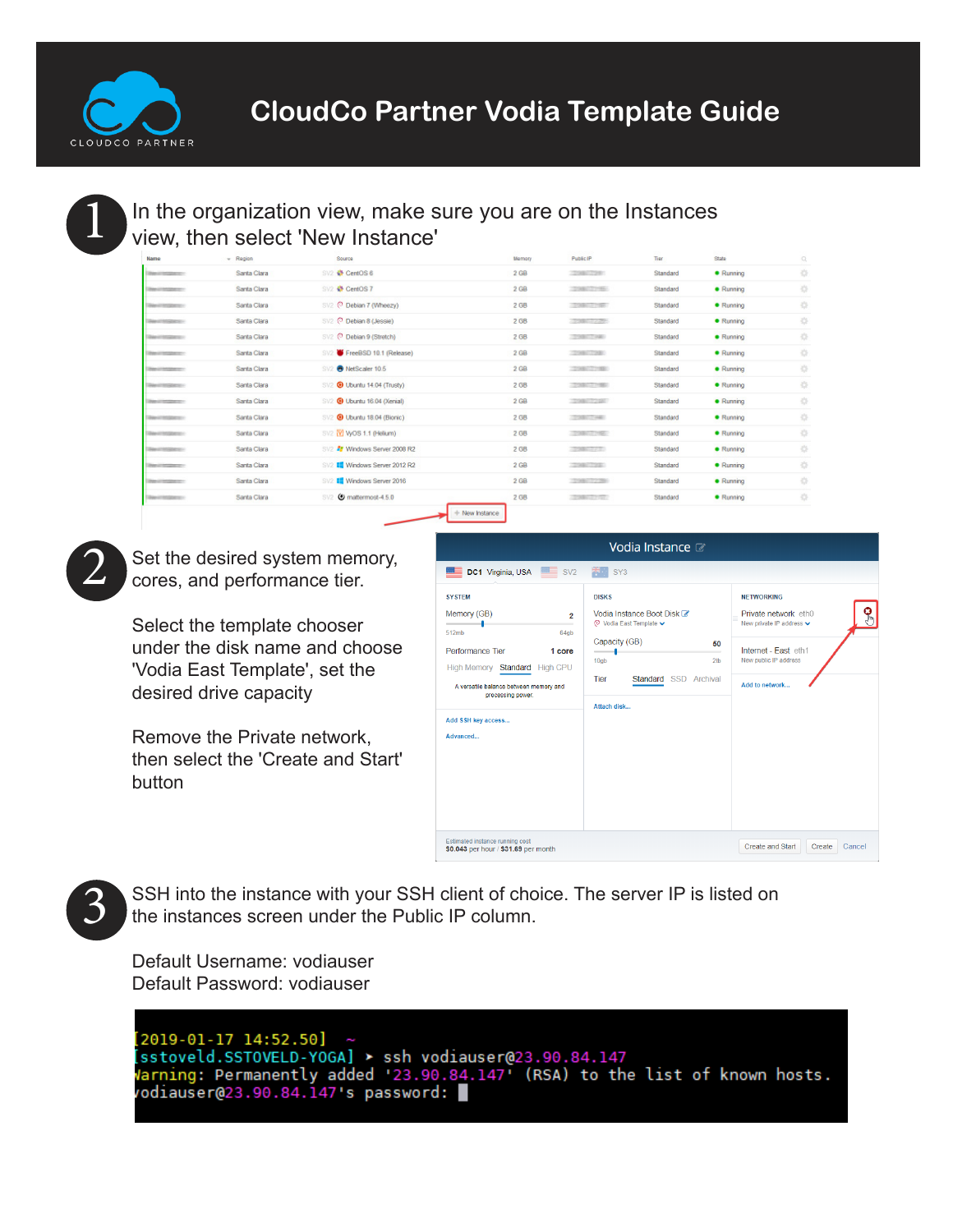

## In the organization view, make sure you are on the Instances view, then select 'New Instance'

| Name                           | $-$ Region  | Source                                               | Memory          | Public IP                | Tier     | State            | Q |
|--------------------------------|-------------|------------------------------------------------------|-----------------|--------------------------|----------|------------------|---|
| Telescoption of                | Santa Clara | SV2 & CentOS 6                                       | 2 GB            | <b>CERABILITY RE</b>     | Standard | · Running        | 萘 |
| <b>Challenge Council Corp.</b> | Santa Clara | SV2 + CentOS 7                                       | 2 <sub>GB</sub> | CERABILITY RE-           | Standard | · Running        | 岑 |
|                                | Santa Clara | SV2 @ Debian 7 (Wheezy)                              | 2 GB            | <b>STARTLET BELL</b>     | Standard | · Running        | 捺 |
|                                | Santa Clara | SV2 <sup>(C)</sup> Debian 8 (Jessie)                 | 2 GB            | <b>STORY IT A RES</b>    | Standard | · Running        | 捺 |
|                                | Santa Clara | SV2 @ Debian 9 (Stretch)                             | 2 GB            | 359007440                | Standard | · Running        | 烧 |
| <b>START OF STEAMER OF 19</b>  | Santa Clara | SV2 FreeBSD 10.1 (Release)                           | 2 GB            | 2014年7月24日               | Standard | <b>• Running</b> | 娄 |
|                                | Santa Clara | NetScaler 10.5<br>SV                                 | 2 <sub>GB</sub> | CONNECTING               | Standard | · Running        | 岑 |
|                                | Santa Clara | SV2 @ Ubuntu 14.04 (Trusty)                          | 2 GB            | <b>TESTING OF PERIOD</b> | Standard | · Running        | 捺 |
| <b>Charles Council Co.</b>     | Santa Clara | SV2 @ Ubuntu 16.04 (Xenial)                          | 2 <sub>GB</sub> | 129807225                | Standard | · Running        | 烧 |
|                                | Santa Clara | SV2 @ Ubuntu 18.04 (Bionic)                          | 2 GB            | 120817481                | Standard | · Running        | 裧 |
|                                | Santa Clara | SV2 <b>W</b> WOS 1.1 (Helium)                        | 2 GB            | 120807195                | Standard | · Running        | 烧 |
| <b>SARAT STARK ST-</b>         | Santa Clara | SV2 27 Windows Server 2008 R2                        | 2 GB            | 22001273                 | Standard | · Running        | 收 |
| <b>Party of Constant Co.</b>   | Santa Clara | <b>III</b> Windows Server 2012 R2<br>SV <sub>2</sub> | 2 GB            | <b>TERRITORY</b>         | Standard | · Running        | 捺 |
| <b>Charles Council Corp.</b>   | Santa Clara | <b>III</b> Windows Server 2016<br>SV <sub>2</sub>    | 2 <sub>GB</sub> | 209007239                | Standard | · Running        | 器 |
|                                | Santa Clara | SV2 @ mattermost-4.5.0                               | 2 GB            | <b>TORONTON</b>          | Standard | · Running        | 烧 |
|                                |             | + New Instance                                       |                 |                          |          |                  |   |



Set the desired system memory, cores, and performance tier.

Select the template chooser under the disk name and choose 'Vodia East Template', set the desired drive capacity

Remove the Private network, then select the 'Create and Start' button

|                                                                                                                                                                                                                                 | Vodia Instance a                                                                                                                                                                         |                                                                                                                                                                    |
|---------------------------------------------------------------------------------------------------------------------------------------------------------------------------------------------------------------------------------|------------------------------------------------------------------------------------------------------------------------------------------------------------------------------------------|--------------------------------------------------------------------------------------------------------------------------------------------------------------------|
| <b>DC1 Virginia, USA SIMER SV2</b>                                                                                                                                                                                              | SY <sub>3</sub>                                                                                                                                                                          |                                                                                                                                                                    |
| <b>SYSTEM</b><br>Memory (GB)<br>$\overline{2}$<br>512mb<br>64gb<br>Performance Tier<br>1 core<br>High Memory Standard High CPU<br>A versatile balance between memory and<br>processing power.<br>Add SSH key access<br>Advanced | <b>DISKS</b><br>Vodia Instance Boot Disk &<br>© Vodia East Template V<br>Capacity (GB)<br>50<br>$\sim$ $\sim$ $\sim$<br>-<br>2th<br>10qb<br>Tier<br>Standard SSD Archival<br>Attach disk | <b>NETWORKING</b><br>Ģ,<br>Private network eth0<br>New private IP address $\blacktriangleright$<br>Internet - Fast eth1<br>New public IP address<br>Add to network |
| Estimated instance running cost<br>\$0.043 per hour / \$31.69 per month                                                                                                                                                         |                                                                                                                                                                                          | Cancel<br>Create and Start<br>Create                                                                                                                               |

SSH into the instance with your SSH client of choice. The server IP is listed on the instances screen under the Public IP column.

Default Username: vodiauser Default Password: vodiauser